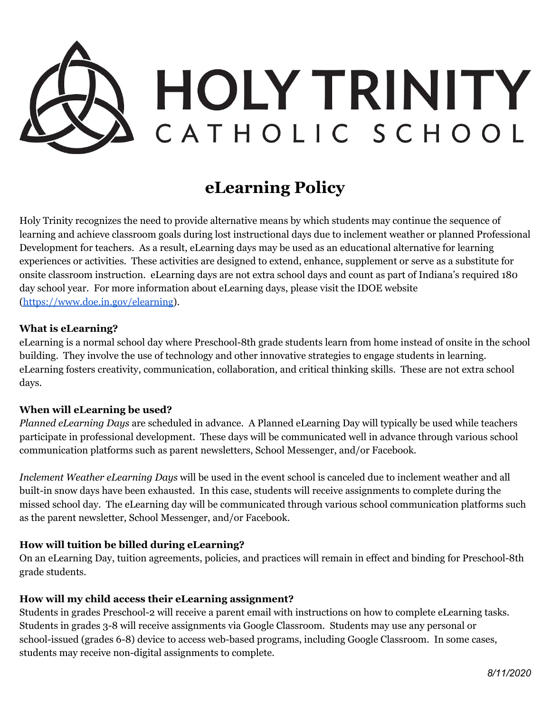

# **eLearning Policy**

Holy Trinity recognizes the need to provide alternative means by which students may continue the sequence of learning and achieve classroom goals during lost instructional days due to inclement weather or planned Professional Development for teachers. As a result, eLearning days may be used as an educational alternative for learning experiences or activities. These activities are designed to extend, enhance, supplement or serve as a substitute for onsite classroom instruction. eLearning days are not extra school days and count as part of Indiana's required 180 day school year. For more information about eLearning days, please visit the IDOE website ([https://www.doe.in.gov/elearning\)](https://www.doe.in.gov/elearning).

#### **What is eLearning?**

eLearning is a normal school day where Preschool-8th grade students learn from home instead of onsite in the school building. They involve the use of technology and other innovative strategies to engage students in learning. eLearning fosters creativity, communication, collaboration, and critical thinking skills. These are not extra school days.

## **When will eLearning be used?**

*Planned eLearning Days* are scheduled in advance. A Planned eLearning Day will typically be used while teachers participate in professional development. These days will be communicated well in advance through various school communication platforms such as parent newsletters, School Messenger, and/or Facebook.

*Inclement Weather eLearning Days* will be used in the event school is canceled due to inclement weather and all built-in snow days have been exhausted. In this case, students will receive assignments to complete during the missed school day. The eLearning day will be communicated through various school communication platforms such as the parent newsletter, School Messenger, and/or Facebook.

## **How will tuition be billed during eLearning?**

On an eLearning Day, tuition agreements, policies, and practices will remain in effect and binding for Preschool-8th grade students.

## **How will my child access their eLearning assignment?**

Students in grades Preschool-2 will receive a parent email with instructions on how to complete eLearning tasks. Students in grades 3-8 will receive assignments via Google Classroom. Students may use any personal or school-issued (grades 6-8) device to access web-based programs, including Google Classroom. In some cases, students may receive non-digital assignments to complete.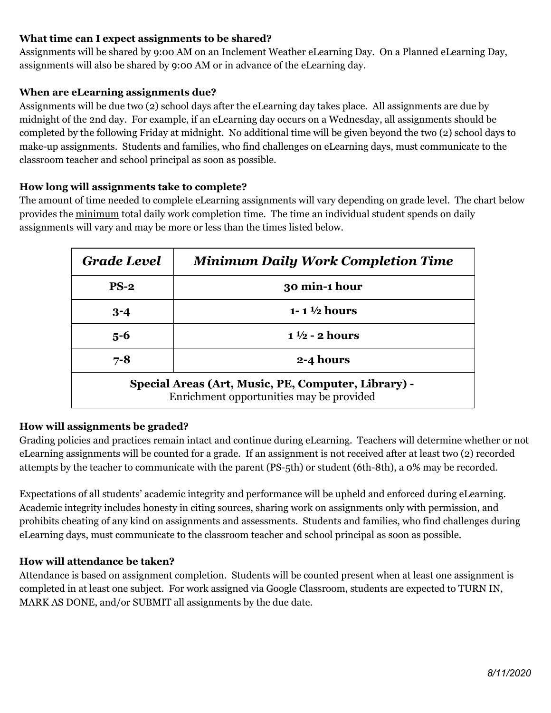# **What time can I expect assignments to be shared?**

Assignments will be shared by 9:00 AM on an Inclement Weather eLearning Day. On a Planned eLearning Day, assignments will also be shared by 9:00 AM or in advance of the eLearning day.

## **When are eLearning assignments due?**

Assignments will be due two (2) school days after the eLearning day takes place. All assignments are due by midnight of the 2nd day. For example, if an eLearning day occurs on a Wednesday, all assignments should be completed by the following Friday at midnight. No additional time will be given beyond the two (2) school days to make-up assignments. Students and families, who find challenges on eLearning days, must communicate to the classroom teacher and school principal as soon as possible.

# **How long will assignments take to complete?**

The amount of time needed to complete eLearning assignments will vary depending on grade level. The chart below provides the minimum total daily work completion time. The time an individual student spends on daily assignments will vary and may be more or less than the times listed below.

| <b>Grade Level</b>                                                                              | <b>Minimum Daily Work Completion Time</b> |
|-------------------------------------------------------------------------------------------------|-------------------------------------------|
| $PS-2$                                                                                          | 30 min-1 hour                             |
| $3 - 4$                                                                                         | 1-1 $\frac{1}{2}$ hours                   |
| $5 - 6$                                                                                         | $1\frac{1}{2}$ - 2 hours                  |
| $7 - 8$                                                                                         | 2-4 hours                                 |
| Special Areas (Art, Music, PE, Computer, Library) -<br>Enrichment opportunities may be provided |                                           |

## **How will assignments be graded?**

Grading policies and practices remain intact and continue during eLearning. Teachers will determine whether or not eLearning assignments will be counted for a grade. If an assignment is not received after at least two (2) recorded attempts by the teacher to communicate with the parent (PS-5th) or student (6th-8th), a 0% may be recorded.

Expectations of all students' academic integrity and performance will be upheld and enforced during eLearning. Academic integrity includes honesty in citing sources, sharing work on assignments only with permission, and prohibits cheating of any kind on assignments and assessments. Students and families, who find challenges during eLearning days, must communicate to the classroom teacher and school principal as soon as possible.

## **How will attendance be taken?**

Attendance is based on assignment completion. Students will be counted present when at least one assignment is completed in at least one subject. For work assigned via Google Classroom, students are expected to TURN IN, MARK AS DONE, and/or SUBMIT all assignments by the due date.